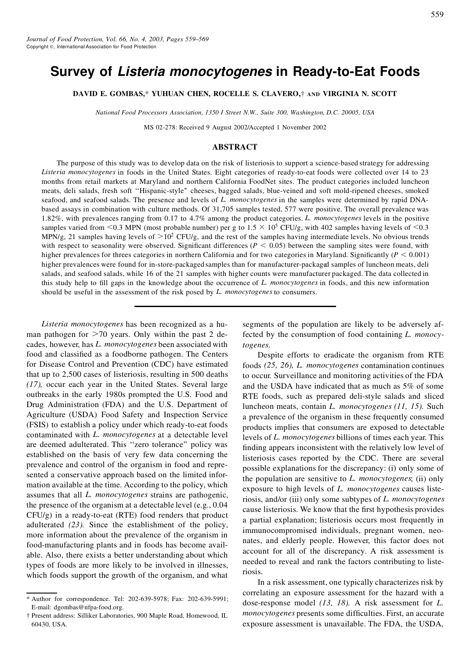# **Survey of** *Listeria monocytogenes* **in Ready-to-Eat Foods**

**DAVID E. GOMBAS,**\* **YUHUAN CHEN, ROCELLE S. CLAVERO,**† **AND VIRGINIA N. SCOTT**

*National Food Processors Association, 1350 I Street N.W., Suite 300, Washington, D.C. 20005, USA*

MS 02-278: Received 9 August 2002/Accepted 1 November 2002

### **ABSTRACT**

The purpose of this study was to develop data on the risk of listeriosis to support a science-based strategy for addressing *Listeria monocytogenes* in foods in the United States. Eight categories of ready-to-eat foods were collected over 14 to 23 months from retail markets at Maryland and northern California FoodNet sites. The product categories included luncheon meats, deli salads, fresh soft ''Hispanic-style'' cheeses, bagged salads, blue-veined and soft mold-ripened cheeses, smoked seafood, and seafood salads. The presence and levels of *L. monocytogenes* in the samples were determined by rapid DNAbased assays in combination with culture methods. Of 31,705 samples tested, 577 were positive. The overall prevalence was 1.82%, with prevalences ranging from 0.17 to 4.7% among the product categories. *L. monocytogenes* levels in the positive samples varied from  $< 0.3$  MPN (most probable number) per g to  $1.5 \times 10^5$  CFU/g, with 402 samples having levels of  $< 0.3$ MPN/g, 21 samples having levels of  $>10^2$  CFU/g, and the rest of the samples having intermediate levels. No obvious trends with respect to seasonality were observed. Significant differences ( $P \le 0.05$ ) between the sampling sites were found, with higher prevalences for threes categories in northern California and for two categories in Maryland. Significantly ( $P < 0.001$ ) higher prevalences were found for in-store-packaged samples than for manufacturer-packaged samples of luncheon meats, deli salads, and seafood salads, while 16 of the 21 samples with higher counts were manufacturer packaged. The data collected in this study help to ll gaps in the knowledge about the occurrence of *L. monocytogenes* in foods, and this new information should be useful in the assessment of the risk posed by *L. monocytogenes* to consumers.

*Listeria monocytogenes* has been recognized as a human pathogen for  $>70$  years. Only within the past 2 decades, however, has *L. monocytogenes* been associated with food and classified as a foodborne pathogen. The Centers for Disease Control and Prevention (CDC) have estimated that up to 2,500 cases of listeriosis, resulting in 500 deaths *(17),* occur each year in the United States. Several large outbreaks in the early 1980s prompted the U.S. Food and Drug Administration (FDA) and the U.S. Department of Agriculture (USDA) Food Safety and Inspection Service (FSIS) to establish a policy under which ready-to-eat foods contaminated with *L. monocytogenes* at a detectable level are deemed adulterated. This ''zero tolerance'' policy was established on the basis of very few data concerning the prevalence and control of the organism in food and represented a conservative approach based on the limited information available at the time. According to the policy, which assumes that all *L. monocytogenes* strains are pathogenic, the presence of the organism at a detectable level (e.g., 0.04 CFU/g) in a ready-to-eat (RTE) food renders that product adulterated *(23).* Since the establishment of the policy, more information about the prevalence of the organism in food-manufacturing plants and in foods has become available. Also, there exists a better understanding about which types of foods are more likely to be involved in illnesses, which foods support the growth of the organism, and what

segments of the population are likely to be adversely affected by the consumption of food containing *L. monocytogenes.*

Despite efforts to eradicate the organism from RTE foods *(25, 26), L. monocytogenes* contamination continues to occur. Surveillance and monitoring activities of the FDA and the USDA have indicated that as much as 5% of some RTE foods, such as prepared deli-style salads and sliced luncheon meats, contain *L. monocytogenes (11, 15).* Such a prevalence of the organism in these frequently consumed products implies that consumers are exposed to detectable levels of *L. monocytogenes* billions of times each year. This nding appears inconsistent with the relatively low level of listeriosis cases reported by the CDC. There are several possible explanations for the discrepancy: (i) only some of the population are sensitive to *L. monocytogenes*; (ii) only exposure to high levels of *L. monocytogenes* causes listeriosis, and/or (iii) only some subtypes of *L. monocytogenes* cause listeriosis. We know that the first hypothesis provides a partial explanation; listeriosis occurs most frequently in immunocompromised individuals, pregnant women, neonates, and elderly people. However, this factor does not account for all of the discrepancy. A risk assessment is needed to reveal and rank the factors contributing to listeriosis.

In a risk assessment, one typically characterizes risk by correlating an exposure assessment for the hazard with a dose-response model *(13, 18).* A risk assessment for *L. monocytogenes* presents some difficulties. First, an accurate exposure assessment is unavailable. The FDA, the USDA,

<sup>\*</sup> Author for correspondence. Tel: 202-639-5978; Fax: 202-639-5991; E-mail: dgombas@nfpa-food.org.

<sup>†</sup> Present address: Silliker Laboratories, 900 Maple Road, Homewood, IL 60430, USA.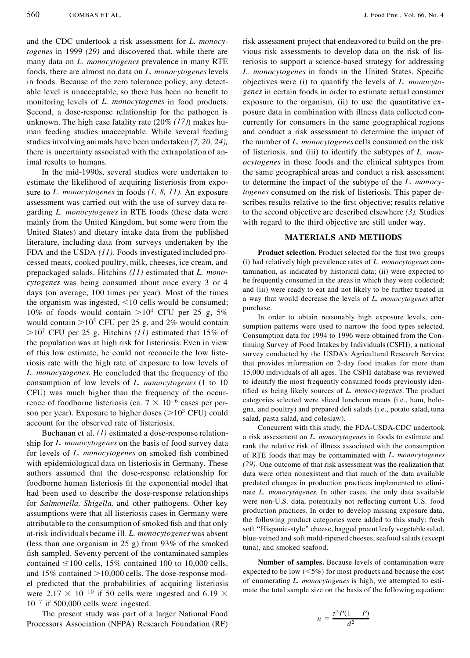and the CDC undertook a risk assessment for *L. monocytogenes* in 1999 *(29)* and discovered that, while there are many data on *L. monocytogenes* prevalence in many RTE foods, there are almost no data on *L. monocytogenes* levels in foods. Because of the zero tolerance policy, any detectable level is unacceptable, so there has been no benefit to monitoring levels of *L. monocytogenes* in food products. Second, a dose-response relationship for the pathogen is unknown. The high case fatality rate (20% *(17)*) makes human feeding studies unacceptable. While several feeding studies involving animals have been undertaken *(7, 20, 24),* there is uncertainty associated with the extrapolation of animal results to humans.

In the mid-1990s, several studies were undertaken to estimate the likelihood of acquiring listeriosis from exposure to *L. monocytogenes* in foods *(1, 8, 11).* An exposure assessment was carried out with the use of survey data regarding *L. monocytogenes* in RTE foods (these data were mainly from the United Kingdom, but some were from the United States) and dietary intake data from the published literature, including data from surveys undertaken by the FDA and the USDA *(11).* Foods investigated included processed meats, cooked poultry, milk, cheeses, ice cream, and prepackaged salads. Hitchins *(11)* estimated that *L. mono cytogenes* was being consumed about once every 3 or 4 days (on average, 100 times per year). Most of the times the organism was ingested,  $\leq$ 10 cells would be consumed; 10% of foods would contain  $>10^4$  CFU per 25 g, 5% would contain  $>10^5$  CFU per 25 g, and 2% would contain  $>10^7$  CFU per 25 g. Hitchins *(11)* estimated that 15% of the population was at high risk for listeriosis. Even in view of this low estimate, he could not reconcile the low listeriosis rate with the high rate of exposure to low levels of *L. monocytogenes.* He concluded that the frequency of the consumption of low levels of *L. monocytogenes* (1 to 10 CFU) was much higher than the frequency of the occurrence of foodborne listeriosis (ca.  $7 \times 10^{-6}$  cases per person per year). Exposure to higher doses ( $>10^3$  CFU) could account for the observed rate of listeriosis.

Buchanan et al. *(1)* estimated a dose-response relationship for *L. monocytogenes* on the basis of food survey data for levels of *L. monocytogenes* on smoked fish combined with epidemiological data on listeriosis in Germany. These authors assumed that the dose-response relationship for foodborne human listeriosis fit the exponential model that had been used to describe the dose-response relationships for *Salmonella, Shigella,* and other pathogens. Other key assumptions were that all listeriosis cases in Germany were attributable to the consumption of smoked fish and that only at-risk individuals became ill. *L. monocytogenes* was absent (less than one organism in 25 g) from 93% of the smoked fish sampled. Seventy percent of the contaminated samples contained  $\leq 100$  cells, 15% contained 100 to 10,000 cells, and 15% contained  $>10,000$  cells. The dose-response model predicted that the probabilities of acquiring listeriosis were 2.17  $\times$  10<sup>-10</sup> if 50 cells were ingested and 6.19  $\times$  $10^{-7}$  if 500,000 cells were ingested.

The present study was part of a larger National Food Processors Association (NFPA) Research Foundation (RF) risk assessment project that endeavored to build on the previous risk assessments to develop data on the risk of listeriosis to support a science-based strategy for addressing *L. monocytogenes* in foods in the United States. Specific objectives were (i) to quantify the levels of *L. monocytogenes* in certain foods in order to estimate actual consumer exposure to the organism, (ii) to use the quantitative exposure data in combination with illness data collected concurrently for consumers in the same geographical regions and conduct a risk assessment to determine the impact of the number of *L. monocytogenes* cells consumed on the risk of listeriosis, and (iii) to identify the subtypes of *L. mon ocytogenes* in those foods and the clinical subtypes from the same geographical areas and conduct a risk assessment to determine the impact of the subtype of the *L. monocytogenes* consumed on the risk of listeriosis. This paper describes results relative to the first objective; results relative to the second objective are described elsewhere *(3).* Studies with regard to the third objective are still under way.

#### **MATERIALS AND METHODS**

**Product selection.** Product selected for the first two groups (i) had relatively high prevalence rates of *L. monocytogenes* contamination, as indicated by historical data; (ii) were expected to be frequently consumed in the areas in which they were collected; and (iii) were ready to eat and not likely to be further treated in a way that would decrease the levels of *L. monocytogenes* after purchase.

In order to obtain reasonably high exposure levels, consumption patterns were used to narrow the food types selected. Consumption data for 1994 to 1996 were obtained from the Continuing Survey of Food Intakes by Individuals(CSFII), a national survey conducted by the USDA's Agricultural Research Service that provides information on 2-day food intakes for more than 15,000 individuals of all ages. The CSFII database was reviewed to identify the most frequently consumed foods previously identified as being likely sources of *L. monocytogenes*. The product categories selected were sliced luncheon meats (i.e., ham, bologna, and poultry) and prepared deli salads (i.e., potato salad, tuna salad, pasta salad, and coleslaw).

Concurrent with this study, the FDA-USDA-CDC undertook a risk assessment on *L. monocytogenes* in foods to estimate and rank the relative risk of illness associated with the consumption of RTE foods that may be contaminated with *L. monocytogenes (29).* One outcome of that risk assessment was the realization that data were often nonexistent and that much of the data available predated changes in production practices implemented to eliminate *L. monocytogenes.* In other cases, the only data available were non-U.S. data, potentially not reflecting current U.S. food production practices. In order to develop missing exposure data, the following product categories were added to this study: fresh soft ''Hispanic-style'' cheese, bagged precut leafy vegetable salad, blue-veined and soft mold-ripened cheeses, seafood salads (except tuna), and smoked seafood.

**Number of samples.** Because levels of contamination were expected to be low  $(<5\%)$  for most products and because the cost of enumerating *L. monocytogenes* is high, we attempted to estimate the total sample size on the basis of the following equation:

$$
n=\frac{z^2P(1-P)}{d^2}
$$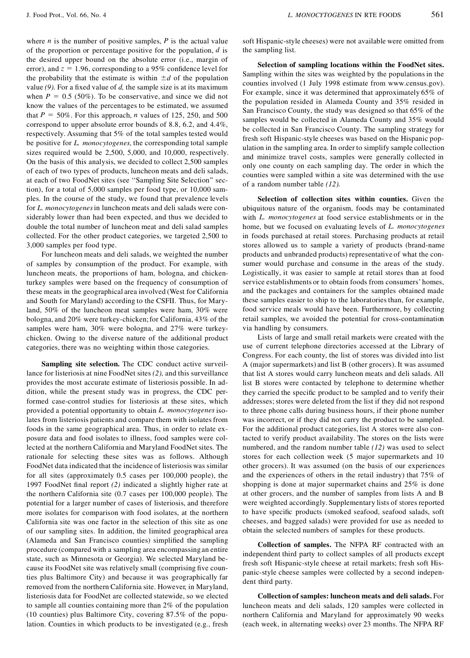where  $n$  is the number of positive samples,  $P$  is the actual value of the proportion or percentage positive for the population, *d* is the desired upper bound on the absolute error (i.e., margin of error), and  $z = 1.96$ , corresponding to a 95% confidence level for the probability that the estimate is within  $\pm d$  of the population value  $(9)$ . For a fixed value of *d*, the sample size is at its maximum when  $P = 0.5$  (50%). To be conservative, and since we did not know the values of the percentages to be estimated, we assumed that  $P = 50\%$ . For this approach, *n* values of 125, 250, and 500 correspond to upper absolute error bounds of 8.8, 6.2, and 4.4%, respectively. Assuming that 5% of the total samples tested would be positive for *L. monocytogenes,* the corresponding total sample sizes required would be 2,500, 5,000, and 10,000, respectively. On the basis of this analysis, we decided to collect 2,500 samples of each of two types of products, luncheon meats and deli salads, at each of two FoodNet sites (see ''Sampling Site Selection'' section), for a total of 5,000 samples per food type, or 10,000 sam ples. In the course of the study, we found that prevalence levels for *L. monocytogenes*in luncheon meats and deli salads were considerably lower than had been expected, and thus we decided to double the total number of luncheon meat and deli salad samples collected. For the other product categories, we targeted 2,500 to 3,000 samples per food type.

For luncheon meats and deli salads, we weighted the number of samples by consumption of the product. For example, with luncheon meats, the proportions of ham, bologna, and chickenturkey samples were based on the frequency of consumption of these meats in the geographical area involved (West for California and South for Maryland) according to the CSFII. Thus, for Maryland, 50% of the luncheon meat samples were ham, 30% were bologna, and 20% were turkey-chicken;for California, 43% of the samples were ham, 30% were bologna, and 27% were turkeychicken. Owing to the diverse nature of the additional product categories, there was no weighting within those categories.

**Sampling site selection.** The CDC conduct active surveillance for listeriosis at nine FoodNet sites *(2),* and this surveillance provides the most accurate estimate of listeriosis possible. In addition, while the present study was in progress, the CDC performed case-control studies for listeriosis at these sites, which provided a potential opportunity to obtain *L. monocytogenes* isolates from listeriosis patients and compare them with isolates from foods in the same geographical area. Thus, in order to relate ex posure data and food isolates to illness, food samples were collected at the northern California and Maryland FoodNet sites. The rationale for selecting these sites was as follows. Although FoodNet data indicated that the incidence of listeriosis was similar for all sites (approximately 0.5 cases per 100,000 people), the 1997 FoodNet final report (2) indicated a slightly higher rate at the northern California site (0.7 cases per 100,000 people). The potential for a larger number of cases of listeriosis, and therefore more isolates for comparison with food isolates, at the northern California site was one factor in the selection of this site as one of our sampling sites. In addition, the limited geographical area (Alameda and San Francisco counties) simplified the sampling procedure (compared with a sampling area encompassingan entire state, such as Minnesota or Georgia). We selected Maryland be cause its FoodNet site was relatively small (comprising five counties plus Baltimore City) and because it was geographically far removed from the northern California site. However, in Maryland, listeriosis data for FoodNet are collected statewide, so we elected to sample all counties containing more than 2% of the population (10 counties) plus Baltimore City, covering 87.5% of the population. Counties in which products to be investigated (e.g., fresh soft Hispanic-style cheeses) were not available were omitted from the sampling list.

**Selection of sampling locations within the FoodNet sites.** Sampling within the sites was weighted by the populations in the counties involved (1 July 1998 estimate from www.census.gov). For example, since it was determined that approximately 65% of the population resided in Alameda County and 35% resided in San Francisco County, the study was designed so that 65% of the samples would be collected in Alameda County and 35% would be collected in San Francisco County. The sampling strategy for fresh soft Hispanic-style cheeses was based on the Hispanic population in the sampling area. In order to simplify sample collection and minimize travel costs, samples were generally collected in only one county on each sampling day. The order in which the counties were sampled within a site was determined with the use of a random number table *(12).*

**Selection of collection sites within counties.** Given the ubiquitous nature of the organism, foods may be contaminated with *L. monocytogenes* at food service establishments or in the home, but we focused on evaluating levels of *L. monocytogenes* in foods purchased at retail stores. Purchasing products at retail stores allowed us to sample a variety of products (brand-name products and unbranded products) representative of what the consumer would purchase and consume in the areas of the study. Logistically, it was easier to sample at retail stores than at food service establishments or to obtain foods from consumers' homes, and the packages and containers for the samples obtained made these samples easier to ship to the laboratories than, for example, food service meals would have been. Furthermore, by collecting retail samples, we avoided the potential for cross-contamination via handling by consumers.

Lists of large and small retail markets were created with the use of current telephone directories accessed at the Library of Congress. For each county, the list of stores was divided into list A (major supermarkets) and list B (other grocers). It was assumed that list A stores would carry luncheon meats and deli salads. All list B stores were contacted by telephone to determine whether they carried the specific product to be sampled and to verify their addresses; stores were deleted from the list if they did not respond to three phone calls during business hours, if their phone number was incorrect, or if they did not carry the product to be sampled. For the additional product categories, list A stores were also contacted to verify product availability. The stores on the lists were numbered, and the random number table *(12)* was used to select stores for each collection week (5 major supermarkets and 10 other grocers). It was assumed (on the basis of our experiences and the experiences of others in the retail industry) that 75% of shopping is done at major supermarket chains and 25% is done at other grocers, and the number of samples from lists A and B were weighted accordingly. Supplementary lists of stores reported to have specific products (smoked seafood, seafood salads, soft cheeses, and bagged salads) were provided for use as needed to obtain the selected numbers of samples for these products.

**Collection of samples.** The NFPA RF contracted with an independent third party to collect samples of all products except fresh soft Hispanic-style cheese at retail markets; fresh soft Hispanic-style cheese samples were collected by a second independent third party.

**Collection of samples: luncheon meats and deli salads.** For luncheon meats and deli salads, 120 samples were collected in northern California and Maryland for approximately 90 weeks (each week, in alternating weeks) over 23 months. The NFPA RF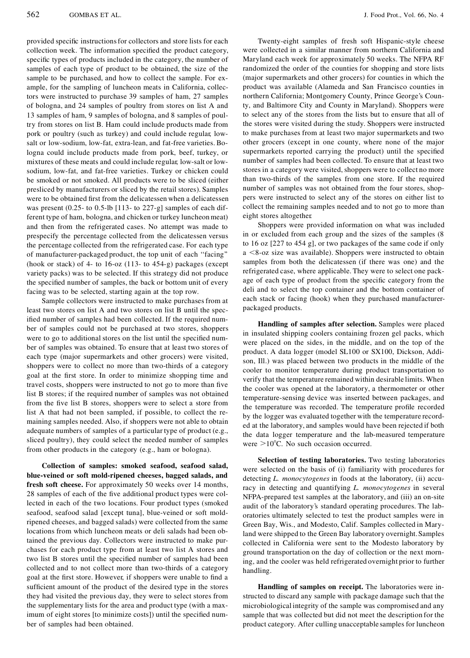provided specific instructions for collectors and store lists for each collection week. The information specified the product category, specific types of products included in the category, the number of samples of each type of product to be obtained, the size of the sample to be purchased, and how to collect the sample. For ex ample, for the sampling of luncheon meats in California, collectors were instructed to purchase 39 samples of ham, 27 samples of bologna, and 24 samples of poultry from stores on list A and 13 samples of ham, 9 samples of bologna, and 8 samples of poultry from stores on list B. Ham could include products made from pork or poultry (such as turkey) and could include regular, lowsalt or low-sodium, low-fat, extra-lean, and fat-free varieties. Bologna could include products made from pork, beef, turkey, or mixtures of these meats and could include regular, low-salt or lowsodium, low-fat, and fat-free varieties. Turkey or chicken could be smoked or not smoked. All products were to be sliced (either presliced by manufacturers or sliced by the retail stores). Samples were to be obtained first from the delicatessen when a delicatessen was present (0.25- to 0.5-lb [113- to 227-g] samples of each different type of ham, bologna, and chicken or turkey luncheon meat) and then from the refrigerated cases. No attempt was made to prespecify the percentage collected from the delicatessen versus the percentage collected from the refrigerated case. For each type of manufacturer-packaged product, the top unit of each ''facing'' (hook or stack) of 4- to 16-oz (113- to 454-g) packages (except variety packs) was to be selected. If this strategy did not produce the specified number of samples, the back or bottom unit of every facing was to be selected, starting again at the top row.

Sample collectors were instructed to make purchases from at least two stores on list A and two stores on list B until the specified number of samples had been collected. If the required number of samples could not be purchased at two stores, shoppers were to go to additional stores on the list until the specified number of samples was obtained. To ensure that at least two stores of each type (major supermarkets and other grocers) were visited, shoppers were to collect no more than two-thirds of a category goal at the first store. In order to minimize shopping time and travel costs, shoppers were instructed to not go to more than five list B stores; if the required number of samples was not obtained from the five list B stores, shoppers were to select a store from list A that had not been sampled, if possible, to collect the re maining samples needed. Also, if shoppers were not able to obtain adequate numbers of samples of a particular type of product (e.g., sliced poultry), they could select the needed number of samples from other products in the category (e.g., ham or bologna).

**Collection of samples: smoked seafood, seafood salad, blue-veined or soft mold-ripened cheeses, bagged salads, and fresh soft cheese.** For approximately 50 weeks over 14 months, 28 samples of each of the five additional product types were collected in each of the two locations. Four product types (smoked seafood, seafood salad [except tuna], blue-veined or soft moldripened cheeses, and bagged salads) were collected from the same locations from which luncheon meats or deli salads had been obtained the previous day. Collectors were instructed to make purchases for each product type from at least two list A stores and two list B stores until the specified number of samples had been collected and to not collect more than two-thirds of a category goal at the first store. However, if shoppers were unable to find a sufficient amount of the product of the desired type in the stores they had visited the previous day, they were to select stores from the supplementary lists for the area and product type (with a maximum of eight stores [to minimize costs]) until the specified number of samples had been obtained.

Twenty-eight samples of fresh soft Hispanic-style cheese were collected in a similar manner from northern California and Maryland each week for approximately 50 weeks. The NFPA RF randomized the order of the counties for shopping and store lists (major supermarkets and other grocers) for counties in which the product was available (Alameda and San Francisco counties in northern California; Montgomery County, Prince George's County, and Baltimore City and County in Maryland). Shoppers were to select any of the stores from the lists but to ensure that all of the stores were visited during the study. Shoppers were instructed to make purchases from at least two major supermarkets and two other grocers (except in one county, where none of the major supermarkets reported carrying the product) until the specified number of samples had been collected. To ensure that at least two stores in a category were visited, shoppers were to collect no more than two-thirds of the samples from one store. If the required number of samples was not obtained from the four stores, shoppers were instructed to select any of the stores on either list to collect the remaining samples needed and to not go to more than eight stores altogether.

Shoppers were provided information on what was included in or excluded from each group and the sizes of the samples (8 to 16 oz [227 to 454 g], or two packages of the same code if only  $a < 8$ -oz size was available). Shoppers were instructed to obtain samples from both the delicatessen (if there was one) and the refrigerated case, where applicable. They were to select one package of each type of product from the specific category from the deli and to select the top container and the bottom container of each stack or facing (hook) when they purchased manufacturerpackaged products.

**Handling of samples after selection.** Samples were placed in insulated shipping coolers containing frozen gel packs, which were placed on the sides, in the middle, and on the top of the product. A data logger (model SL100 or SX100, Dickson, Addison, Ill.) was placed between two products in the middle of the cooler to monitor temperature during product transportation to verify that the temperature remained within desirable limits. When the cooler was opened at the laboratory, a thermometer or other temperature-sensing device was inserted between packages, and the temperature was recorded. The temperature profile recorded by the logger was evaluated together with the temperature recorded at the laboratory, and samples would have been rejected if both the data logger temperature and the lab-measured temperature were  $>10^{\circ}$ C. No such occasion occurred.

**Selection of testing laboratories.** Two testing laboratories were selected on the basis of (i) familiarity with procedures for detecting *L. monocytogenes* in foods at the laboratory, (ii) accuracy in detecting and quantifying *L. monocytogenes* in several NFPA-prepared test samples at the laboratory, and (iii) an on-site audit of the laboratory's standard operating procedures. The laboratories ultimately selected to test the product samples were in Green Bay, Wis., and Modesto, Calif. Samples collected in Maryland were shipped to the Green Bay laboratory overnight.Samples collected in California were sent to the Modesto laboratory by ground transportation on the day of collection or the next morning, and the cooler was held refrigerated overnight prior to further handling.

**Handling of samples on receipt.** The laboratories were instructed to discard any sample with package damage such that the microbiological integrity of the sample was compromised and any sample that was collected but did not meet the description for the product category. After culling unacceptable samples for luncheon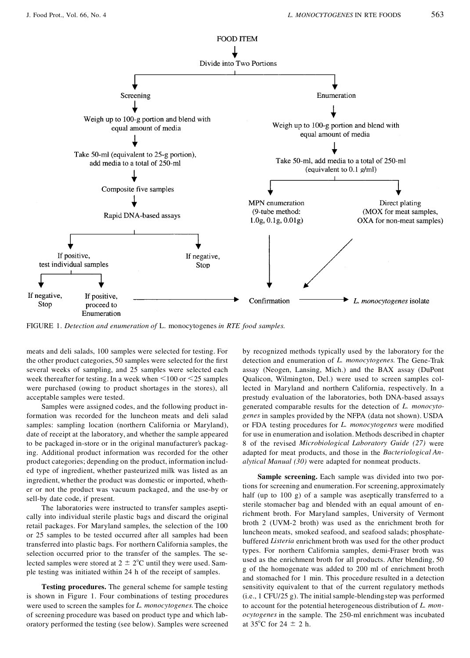

FIGURE 1.*Detection and enumeration of* L. monocytogenes *in RTE food samples.*

meats and deli salads, 100 samples were selected for testing. For the other product categories, 50 samples were selected for the first several weeks of sampling, and 25 samples were selected each week thereafter for testing. In a week when  $\leq$ 100 or  $\leq$ 25 samples were purchased (owing to product shortages in the stores), all acceptable samples were tested.

Samples were assigned codes, and the following product information was recorded for the luncheon meats and deli salad samples: sampling location (northern California or Maryland), date of receipt at the laboratory, and whether the sample appeared to be packaged in-store or in the original manufacturer's packaging. Additional product information was recorded for the other product categories; depending on the product, information included type of ingredient, whether pasteurized milk was listed as an ingredient, whether the product was domestic or imported, wheth er or not the product was vacuum packaged, and the use-by or sell-by date code, if present.

The laboratories were instructed to transfer samples aseptically into individual sterile plastic bags and discard the original retail packages. For Maryland samples, the selection of the 100 or 25 samples to be tested occurred after all samples had been transferred into plastic bags. For northern California samples, the selection occurred prior to the transfer of the samples. The selected samples were stored at  $2 \pm 2^{\circ}$ C until they were used. Sample testing was initiated within 24 h of the receipt of samples.

**Testing procedures.** The general scheme for sample testing is shown in Figure 1. Four combinations of testing procedures were used to screen the samples for *L. monocytogenes.*The choice of screening procedure was based on product type and which laboratory performed the testing (see below). Samples were screened

by recognized methods typically used by the laboratory for the detection and enumeration of *L. monocytogenes.* The Gene-Trak assay (Neogen, Lansing, Mich.) and the BAX assay (DuPont Qualicon, Wilmington, Del.) were used to screen samples collected in Maryland and northern California, respectively. In a prestudy evaluation of the laboratories, both DNA-based assays generated comparable results for the detection of *L. monocytogenes* in samples provided by the NFPA (data not shown). USDA or FDA testing procedures for *L. monocytogenes* were modified for use in enumeration and isolation. Methods described in chapter 8 of the revised *Microbiological Laboratory Guide (27)* were adapted for meat products, and those in the *Bacteriological Analytical Manual (30)* were adapted for nonmeat products.

**Sample screening.** Each sample was divided into two portions for screening and enumeration. For screening, approximately half (up to 100 g) of a sample was aseptically transferred to a sterile stomacher bag and blended with an equal amount of enrichment broth. For Maryland samples, University of Vermont broth 2 (UVM-2 broth) was used as the enrichment broth for luncheon meats, smoked seafood, and seafood salads; phosphatebuffered *Listeria* enrichment broth was used for the other product types. For northern California samples, demi-Fraser broth was used as the enrichment broth for all products. After blending, 50 g of the homogenate was added to 200 ml of enrichment broth and stomached for 1 min. This procedure resulted in a detection sensitivity equivalent to that of the current regulatory methods  $(i.e., 1 CFU/25 g)$ . The initial sample-blending step was performed to account for the potential heterogeneous distribution of *L. mon ocytogenes* in the sample. The 250-ml enrichment was incubated at  $35^{\circ}$ C for  $24 \pm 2$  h.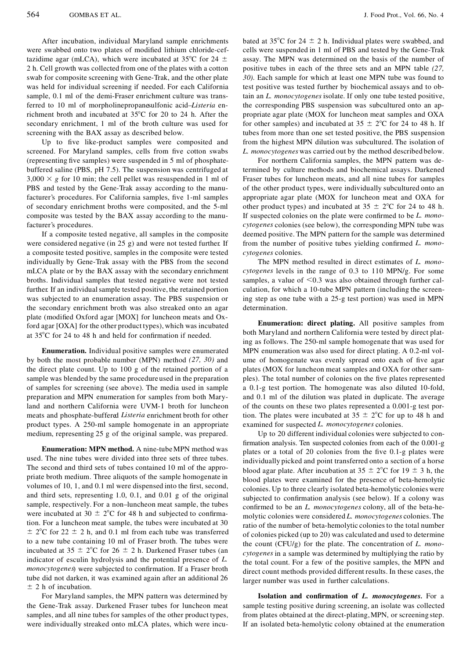After incubation, individual Maryland sample enrichments were swabbed onto two plates of modified lithium chloride-ceftazidime agar (mLCA), which were incubated at 35 $\degree$ C for 24  $\pm$ 2 h. Cell growth was collected from one of the plates with a cotton swab for composite screening with Gene-Trak, and the other plate was held for individual screening if needed. For each California sample, 0.1 ml of the demi-Fraser enrichment culture was transferred to 10 ml of morpholinepropanesulfonic acid–*Listeria* enrichment broth and incubated at  $35^{\circ}$ C for 20 to 24 h. After the secondary enrichment, 1 ml of the broth culture was used for screening with the BAX assay as described below.

Up to five like-product samples were composited and screened. For Maryland samples, cells from five cotton swabs (representing five samples) were suspended in 5 ml of phosphatebuffered saline (PBS, pH 7.5). The suspension was centrifuged at  $3,000 \times g$  for 10 min; the cell pellet was resuspended in 1 ml of PBS and tested by the Gene-Trak assay according to the manufacturer's procedures. For California samples, five 1-ml samples of secondary enrichment broths were composited, and the 5-ml composite was tested by the BAX assay according to the manufacturer's procedures.

If a composite tested negative, all samples in the composite were considered negative (in 25 g) and were not tested further. If a composite tested positive, samples in the composite were tested individually by Gene-Trak assay with the PBS from the second mLCA plate or by the BAX assay with the secondary enrichment broths. Individual samples that tested negative were not tested further. If an individual sample tested positive, the retained portion was subjected to an enumeration assay. The PBS suspension or the secondary enrichment broth was also streaked onto an agar plate (modified Oxford agar [MOX] for luncheon meats and Oxford agar [OXA] for the other product types), which was incubated at  $35^{\circ}$ C for 24 to 48 h and held for confirmation if needed.

**Enumeration.** Individual positive samples were enumerated by both the most probable number (MPN) method *(27, 30)* and the direct plate count. Up to 100 g of the retained portion of a sample was blended by the same procedure used in the preparation of samples for screening (see above). The media used in sample preparation and MPN enumeration for samples from both Maryland and northern California were UVM-1 broth for luncheon meats and phosphate-buffered *Listeria* enrichment broth for other product types. A 250-ml sample homogenate in an appropriate medium, representing 25 g of the original sample, was prepared.

**Enumeration: MPN method.** A nine-tubeMPN method was used. The nine tubes were divided into three sets of three tubes. The second and third sets of tubes contained 10 ml of the appropriate broth medium. Three aliquots of the sample homogenate in volumes of  $10$ ,  $1$ , and  $0.1$  ml were dispensed into the first, second, and third sets, representing 1.0, 0.1, and 0.01 g of the original sample, respectively. For a non–luncheon meat sample, the tubes were incubated at 30  $\pm$  2°C for 48 h and subjected to confirmation. For a luncheon meat sample, the tubes were incubated at 30  $\pm$  2°C for 22  $\pm$  2 h, and 0.1 ml from each tube was transferred to a new tube containing 10 ml of Fraser broth. The tubes were incubated at 35  $\pm$  2°C for 26  $\pm$  2 h. Darkened Fraser tubes (an indicator of esculin hydrolysis and the potential presence of *L. monocytogenes*) were subjected to confirmation. If a Fraser broth tube did not darken, it was examined again after an additional 26  $\pm$  2 h of incubation.

For Maryland samples, the MPN pattern was determined by the Gene-Trak assay. Darkened Fraser tubes for luncheon meat samples, and all nine tubes for samples of the other product types, were individually streaked onto mLCA plates, which were incubated at 35 $\degree$ C for 24  $\pm$  2 h. Individual plates were swabbed, and cells were suspended in 1 ml of PBS and tested by the Gene-Trak assay. The MPN was determined on the basis of the number of positive tubes in each of the three sets and an MPN table *(27, 30).* Each sample for which at least one MPN tube was found to test positive was tested further by biochemical assays and to obtain an *L. monocytogenes* isolate. If only one tube tested positive, the corresponding PBS suspension was subcultured onto an appropriate agar plate (MOX for luncheon meat samples and OXA for other samples) and incubated at  $35 \pm 2^{\circ}$ C for 24 to 48 h. If tubes from more than one set tested positive, the PBS suspension from the highest MPN dilution was subcultured. The isolation of *L. monocytogenes* was carried out by the method described below.

For northern California samples, the MPN pattern was determined by culture methods and biochemical assays. Darkened Fraser tubes for luncheon meats, and all nine tubes for samples of the other product types, were individually subcultured onto an appropriate agar plate (MOX for luncheon meat and OXA for other product types) and incubated at  $35 \pm 2$ °C for 24 to 48 h. If suspected colonies on the plate were confirmed to be *L. monocytogenes* colonies (see below), the corresponding MPN tube was deemed positive. The MPN pattern for the sample was determined from the number of positive tubes yielding confirmed *L. monocytogenes* colonies.

The MPN method resulted in direct estimates of *L. mono cytogenes* levels in the range of 0.3 to 110 MPN/g. For some samples, a value of  $\leq 0.3$  was also obtained through further calculation, for which a 10-tube MPN pattern (including the screening step as one tube with a 25-g test portion) was used in MPN determination.

**Enumeration: direct plating.** All positive samples from both Maryland and northern California were tested by direct plating as follows. The 250-ml sample homogenate that was used for MPN enumeration was also used for direct plating. A 0.2-ml vol ume of homogenate was evenly spread onto each of five agar plates (MOX for luncheon meat samples and OXA for other sam ples). The total number of colonies on the five plates represented a 0.1-g test portion. The homogenate was also diluted 10-fold, and 0.1 ml of the dilution was plated in duplicate. The average of the counts on these two plates represented a 0.001-g test portion. The plates were incubated at  $35 \pm 2^{\circ}$ C for up to 48 h and examined for suspected *L. monocytogenes* colonies.

Up to 20 different individual colonies were subjected to con firmation analysis. Ten suspected colonies from each of the 0.001-g plates or a total of  $20$  colonies from the five  $0.1$ -g plates were individually picked and point transferred onto a section of a horse blood agar plate. After incubation at  $35 \pm 2^{\circ}$ C for  $19 \pm 3$  h, the blood plates were examined for the presence of beta-hemolytic colonies. Up to three clearly isolated beta-hemolytic colonies were subjected to confirmation analysis (see below). If a colony was confirmed to be an *L. monocytogenes* colony, all of the beta-hemolytic colonies were considered *L. monocytogenes* colonies.The ratio of the number of beta-hemolytic colonies to the total number of colonies picked (up to 20) was calculated and used to determine the count (CFU/g) for the plate. The concentration of *L. mono cytogenes* in a sample was determined by multiplying the ratio by the total count. For a few of the positive samples, the MPN and direct count methods provided different results. In these cases, the larger number was used in further calculations.

**Isolation** and **confirmation** of *L. monocytogenes*. For a sample testing positive during screening, an isolate was collected from plates obtained at the direct-plating,MPN, or screening step. If an isolated beta-hemolytic colony obtained at the enumeration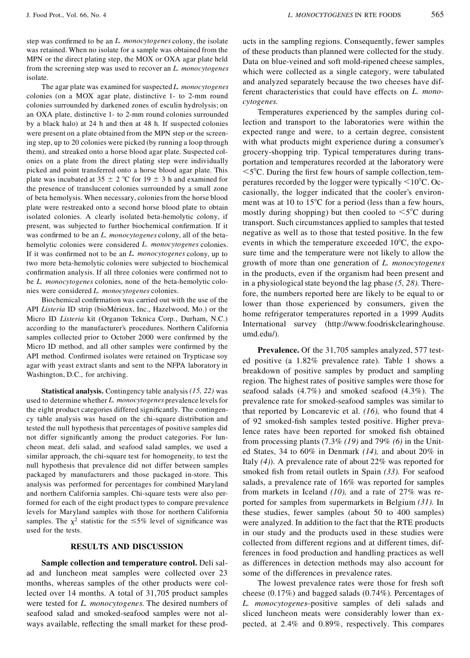step was confirmed to be an *L. monocytogenes* colony, the isolate was retained. When no isolate for a sample was obtained from the MPN or the direct plating step, the MOX or OXA agar plate held from the screening step was used to recover an *L. monocytogenes* isolate.

The agar plate was examined for suspected *L. monocytogenes* colonies (on a MOX agar plate, distinctive 1- to 2-mm round colonies surrounded by darkened zones of esculin hydrolysis; on an OXA plate, distinctive 1- to 2-mm round colonies surrounded by a black halo) at 24 h and then at 48 h. If suspected colonies were present on a plate obtained from the MPN step or the screening step, up to 20 colonies were picked (by running a loop through them), and streaked onto a horse blood agar plate. Suspected colonies on a plate from the direct plating step were individually picked and point transferred onto a horse blood agar plate. This plate was incubated at 35  $\pm$  2 °C for 19  $\pm$  3 h and examined for the presence of translucent colonies surrounded by a small zone of beta hemolysis. When necessary, coloniesfrom the horse blood plate were restreaked onto a second horse blood plate to obtain isolated colonies. A clearly isolated beta-hemolytic colony, if present, was subjected to further biochemical confirmation. If it was confirmed to be an *L. monocytogenes* colony, all of the betahemolytic colonies were considered *L. monocytogenes* colonies. If it was confirmed not to be an *L. monocytogenes* colony, up to two more beta-hemolytic colonies were subjected to biochemical confirmation analysis. If all three colonies were confirmed not to be *L. monocytogenes* colonies, none of the beta-hemolytic colonies were considered *L. monocytogenes* colonies.

Biochemical confirmation was carried out with the use of the API *Listeria* ID strip (bioMérieux, Inc., Hazelwood, Mo.) or the Micro ID *Listeria* kit (Organon Teknica Corp., Durham, N.C.) according to the manufacturer's procedures. Northern California samples collected prior to October 2000 were confirmed by the Micro ID method, and all other samples were confirmed by the API method. Confirmed isolates were retained on Trypticase soy agar with yeast extract slants and sent to the NFPA laboratory in Washington, D.C., for archiving.

**Statistical analysis.** Contingency table analysis *(15, 22)* was used to determine whether *L. monocytogenes* prevalence levelsfor the eight product categories differed significantly. The contingency table analysis was based on the chi-square distribution and tested the null hypothesis that percentages of positive samples did not differ significantly among the product categories. For luncheon meat, deli salad, and seafood salad samples, we used a similar approach, the chi-square test for homogeneity, to test the null hypothesis that prevalence did not differ between samples packaged by manufacturers and those packaged in-store. This analysis was performed for percentages for combined Maryland and northern California samples. Chi-square tests were also performed for each of the eight product types to compare prevalence levels for Maryland samples with those for northern California samples. The  $\chi^2$  statistic for the  $\leq 5\%$  level of significance was used for the tests.

#### **RESULTS AND DISCUSSION**

**Sample collection and temperature control.** Deli salad and luncheon meat samples were collected over 23 months, whereas samples of the other products were collected over 14 months. A total of 31,705 product samples were tested for *L. monocytogenes.* The desired numbers of seafood salad and smoked-seafood samples were not always available, reflecting the small market for these products in the sampling regions. Consequently, fewer samples of these products than planned were collected for the study. Data on blue-veined and soft mold-ripened cheese samples, which were collected as a single category, were tabulated and analyzed separately because the two cheeses have different characteristics that could have effects on *L. mono cytogenes.*

Temperatures experienced by the samples during collection and transport to the laboratories were within the expected range and were, to a certain degree, consistent with what products might experience during a consumer's grocery-shopping trip. Typical temperatures during transportation and temperatures recorded at the laboratory were  $<$  5 $\degree$ C. During the first few hours of sample collection, temperatures recorded by the logger were typically  $<$ 10°C. Occasionally, the logger indicated that the cooler's environment was at 10 to  $15^{\circ}$ C for a period (less than a few hours, mostly during shopping) but then cooled to  $\leq 5^{\circ}$ C during transport. Such circumstances applied to samples that tested negative as well as to those that tested positive. In the few events in which the temperature exceeded  $10^{\circ}$ C, the exposure time and the temperature were not likely to allow the growth of more than one generation of *L. monocytogenes* in the products, even if the organism had been present and in a physiological state beyond the lag phase (5, 28). Therefore, the numbers reported here are likely to be equal to or lower than those experienced by consumers, given the home refrigerator temperatures reported in a 1999 Audits International survey (http://www.foodriskclearinghouse. umd.edu/).

**Prevalence.** Of the 31,705 samples analyzed, 577 tested positive (a 1.82% prevalence rate). Table 1 shows a breakdown of positive samples by product and sampling region. The highest rates of positive samples were those for seafood salads (4.7%) and smoked seafood (4.3%). The prevalence rate for smoked-seafood samples was similar to that reported by Loncarevic et al. *(16),* who found that 4 of 92 smoked-fish samples tested positive. Higher prevalence rates have been reported for smoked fish obtained from processing plants (7.3% *(19)* and 79% *(6)* in the United States, 34 to 60% in Denmark *(14),* and about 20% in Italy *(4)*). A prevalence rate of about 22% was reported for smoked fish from retail outlets in Spain (33). For seafood salads, a prevalence rate of 16% was reported for samples from markets in Iceland *(10),* and a rate of 27% was reported for samples from supermarkets in Belgium *(31).* In these studies, fewer samples (about 50 to 400 samples) were analyzed. In addition to the fact that the RTE products in our study and the products used in these studies were collected from different regions and at different times, differences in food production and handling practices as well as differences in detection methods may also account for some of the differences in prevalence rates.

The lowest prevalence rates were those for fresh soft cheese (0.17%) and bagged salads (0.74%). Percentages of *L. monocytogenes*–positive samples of deli salads and sliced luncheon meats were considerably lower than expected, at 2.4% and 0.89%, respectively. This compares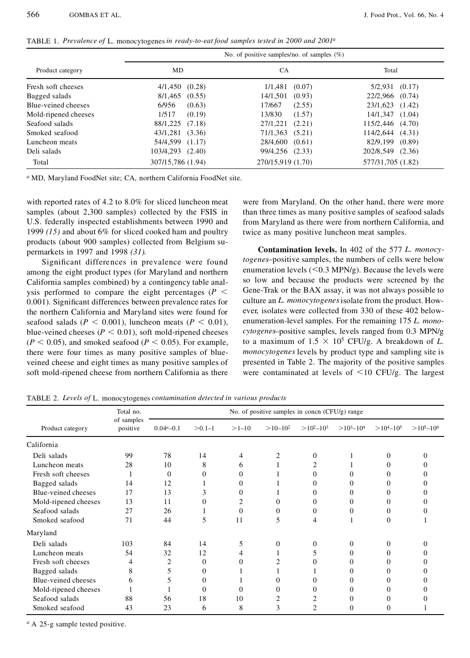|  |  | TABLE 1. Prevalence of L. monocytogenes in ready-to-eat food samples tested in 2000 and 2001 <sup>a</sup> |  |  |  |
|--|--|-----------------------------------------------------------------------------------------------------------|--|--|--|
|--|--|-----------------------------------------------------------------------------------------------------------|--|--|--|

|                      |                    | No. of positive samples/no. of samples $(\%)$ |                     |  |
|----------------------|--------------------|-----------------------------------------------|---------------------|--|
| Product category     | MD                 | CA                                            | Total               |  |
| Fresh soft cheeses   | 4/1.450<br>(0.28)  | 1/1.481<br>(0.07)                             | 5/2,931<br>(0.17)   |  |
| Bagged salads        | 8/1.465<br>(0.55)  | 14/1,501<br>(0.93)                            | 22/2,966 (0.74)     |  |
| Blue-veined cheeses  | 6/956<br>(0.63)    | 17/667<br>(2.55)                              | 23/1.623<br>(1.42)  |  |
| Mold-ripened cheeses | 1/517<br>(0.19)    | 13/830<br>(1.57)                              | 14/1.347<br>(1.04)  |  |
| Seafood salads       | 88/1,225<br>(7.18) | 27/1,221<br>(2.21)                            | 115/2,446 (4.70)    |  |
| Smoked seafood       | 43/1.281<br>(3.36) | 71/1.363<br>(5.21)                            | 114/2.644<br>(4.31) |  |
| Luncheon meats       | 54/4.599<br>(1.17) | 28/4.600<br>(0.61)                            | 82/9.199<br>(0.89)  |  |
| Deli salads          | 103/4,293 (2.40)   | 99/4,256 (2.33)                               | 202/8.549<br>(2.36) |  |
| Total                | 307/15,786 (1.94)  | 270/15,919 (1.70)                             | 577/31,705 (1.82)   |  |

*<sup>a</sup>* MD, Maryland FoodNet site; CA, northern California FoodNet site.

with reported rates of 4.2 to 8.0% for sliced luncheon meat samples (about 2,300 samples) collected by the FSIS in U.S. federally inspected establishments between 1990 and 1999 *(15)* and about 6% for sliced cooked ham and poultry products (about 900 samples) collected from Belgium supermarkets in 1997 and 1998 *(31).*

Significant differences in prevalence were found among the eight product types (for Maryland and northern California samples combined) by a contingency table analysis performed to compare the eight percentages ( $P \leq$ 0.001). Significant differences between prevalence rates for the northern California and Maryland sites were found for seafood salads ( $P \le 0.001$ ), luncheon meats ( $P \le 0.01$ ), blue-veined cheeses ( $P \le 0.01$ ), soft mold-ripened cheeses  $(P \le 0.05)$ , and smoked seafood  $(P \le 0.05)$ . For example, there were four times as many positive samples of blueveined cheese and eight times as many positive samples of soft mold-ripened cheese from northern California as there were from Maryland. On the other hand, there were more than three times as many positive samples of seafood salads from Maryland as there were from northern California, and twice as many positive luncheon meat samples.

**Contamination levels.** In 402 of the 577 *L. monocytogenes*–positive samples, the numbers of cells were below enumeration levels  $(< 0.3$  MPN/g). Because the levels were so low and because the products were screened by the Gene-Trak or the BAX assay, it was not always possible to culture an *L. monocytogenes*isolate from the product. However, isolates were collected from 330 of these 402 belowenumeration-level samples. For the remaining 175 *L. mono cytogenes*–positive samples, levels ranged from 0.3 MPN/g to a maximum of  $1.5 \times 10^5$  CFU/g. A breakdown of *L*. *monocytogenes* levels by product type and sampling site is presented in Table 2. The majority of the positive samples were contaminated at levels of  $\leq 10$  CFU/g. The largest

TABLE 2. *Levels of* L. monocytogenes *contamination detected in various products*

|                      | Total no.              | No. of positive samples in concn $(CFU/g)$ range |             |                |            |              |                |                |                |
|----------------------|------------------------|--------------------------------------------------|-------------|----------------|------------|--------------|----------------|----------------|----------------|
| Product category     | of samples<br>positive | $0.04^{a}-0.1$                                   | $> 0.1 - 1$ | $>1-10$        | $>10-10^2$ | $>10^2-10^3$ | $>10^3 - 10^4$ | $>10^4 - 10^5$ | $>10^5 - 10^6$ |
| California           |                        |                                                  |             |                |            |              |                |                |                |
| Deli salads          | 99                     | 78                                               | 14          | 4              |            | $\Omega$     |                | $\theta$       |                |
| Luncheon meats       | 28                     | 10                                               | 8           | 6              |            |              |                |                |                |
| Fresh soft cheeses   |                        | $\Omega$                                         | 0           | $\Omega$       |            | 0            |                |                |                |
| Bagged salads        | 14                     | 12                                               |             | $\Omega$       |            |              |                |                |                |
| Blue-veined cheeses  | 17                     | 13                                               |             | $\Omega$       |            | 0            |                |                |                |
| Mold-ripened cheeses | 13                     | 11                                               | 0           | $\overline{2}$ |            | $\theta$     | $\Omega$       |                |                |
| Seafood salads       | 27                     | 26                                               |             | $\overline{0}$ |            | $\theta$     |                |                |                |
| Smoked seafood       | 71                     | 44                                               | 5           | 11             | 5          | 4            |                | $\Omega$       |                |
| Maryland             |                        |                                                  |             |                |            |              |                |                |                |
| Deli salads          | 103                    | 84                                               | 14          |                | $\Omega$   | $\Omega$     |                | $\Omega$       |                |
| Luncheon meats       | 54                     | 32                                               | 12          | 4              |            |              | $\Omega$       |                |                |
| Fresh soft cheeses   | 4                      | 2                                                | $\Omega$    | $\Omega$       |            |              |                |                |                |
| Bagged salads        | 8                      | 5                                                | 0           |                |            |              |                |                |                |
| Blue-veined cheeses  | 6                      |                                                  | 0           |                |            | 0            | $^{(1)}$       |                |                |
| Mold-ripened cheeses |                        |                                                  | 0           | $\Omega$       |            |              |                |                |                |
| Seafood salads       | 88                     | 56                                               | 18          | 10             |            |              |                |                |                |
| Smoked seafood       | 43                     | 23                                               | 6           | 8              | 3          |              | 0              | 0              |                |

*<sup>a</sup>* A 25-g sample tested positive.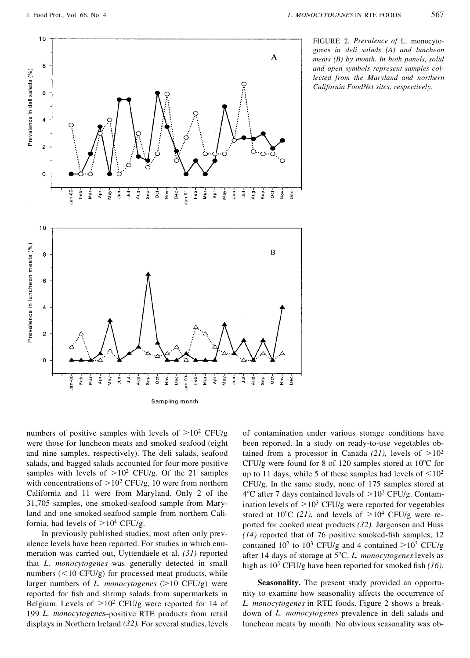

FIGURE 2. *Prevalence of* L. monocytogenes *in deli salads (A) and luncheon meats (B) by month. In both panels, solid and open symbols represent samples collected from the Maryland and northern California FoodNet sites, respectively.*

numbers of positive samples with levels of  $>10^2$  CFU/g were those for luncheon meats and smoked seafood (eight and nine samples, respectively). The deli salads, seafood salads, and bagged salads accounted for four more positive samples with levels of  $>10^2$  CFU/g. Of the 21 samples with concentrations of  $>10^2$  CFU/g, 10 were from northern California and 11 were from Maryland. Only 2 of the 31,705 samples, one smoked-seafood sample from Maryland and one smoked-seafood sample from northern California, had levels of  $>10^4$  CFU/g.

In previously published studies, most often only prevalence levels have been reported. For studies in which enumeration was carried out, Uyttendaele et al. *(31)* reported that *L. monocytogenes* was generally detected in small numbers  $(<10 \text{ CFU/g})$  for processed meat products, while larger numbers of  $L$ . *monocytogenes* ( $>10$  CFU/g) were reported for fish and shrimp salads from supermarkets in Belgium. Levels of  $>10^2$  CFU/g were reported for 14 of 199 *L. monocytogenes*–positive RTE products from retail displays in Northern Ireland *(32).* For several studies, levels

of contamination under various storage conditions have been reported. In a study on ready-to-use vegetables obtained from a processor in Canada  $(21)$ , levels of  $>10<sup>2</sup>$ CFU/g were found for 8 of 120 samples stored at  $10^{\circ}$ C for up to 11 days, while 5 of these samples had levels of  $\leq 10^2$ CFU/g. In the same study, none of 175 samples stored at  $4^{\circ}$ C after 7 days contained levels of  $>10^{2}$  CFU/g. Contamination levels of  $>10^3$  CFU/g were reported for vegetables stored at 10 $\degree$ C (21), and levels of  $>10^4$  CFU/g were reported for cooked meat products *(32).* Jørgensen and Huss  $(14)$  reported that of 76 positive smoked-fish samples, 12 contained  $10^2$  to  $10^3$  CFU/g and 4 contained  $>10^3$  CFU/g after 14 days of storage at 5°C. *L. monocytogenes* levels as high as  $10^5$  CFU/g have been reported for smoked fish  $(16)$ .

**Seasonality.** The present study provided an opportunity to examine how seasonality affects the occurrence of *L. monocytogenes* in RTE foods. Figure 2 shows a breakdown of *L. monocytogenes* prevalence in deli salads and luncheon meats by month. No obvious seasonality was ob-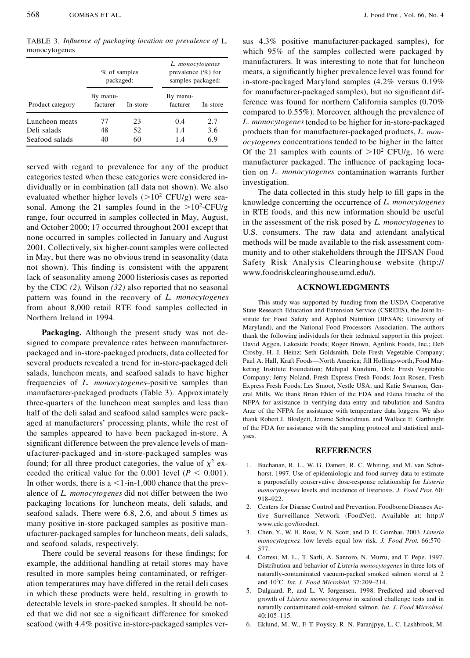TABLE 3. *In uence of packaging location on prevalence of* L. monocytogenes

|                               | % of samples<br>packaged: |          | L. monocytogenes<br>prevalence $(\% )$ for<br>samples packaged: |            |
|-------------------------------|---------------------------|----------|-----------------------------------------------------------------|------------|
| Product category              | By manu-<br>facturer      | In-store | By manu-<br>facturer                                            | In-store   |
| Luncheon meats<br>Deli salads | 77<br>48                  | 23<br>52 | 0.4<br>1.4                                                      | 2.7<br>3.6 |
| Seafood salads                | 40                        | 60       | 1.4                                                             | 6.9        |

served with regard to prevalence for any of the product categories tested when these categories were considered individually or in combination (all data not shown). We also evaluated whether higher levels  $(>10^2 \text{ CFU/g})$  were seasonal. Among the 21 samples found in the  $>10^2$ -CFU/g range, four occurred in samples collected in May, August, and October 2000; 17 occurred throughout 2001 except that none occurred in samples collected in January and August 2001. Collectively, six higher-count samples were collected in May, but there was no obvious trend in seasonality (data not shown). This finding is consistent with the apparent lack of seasonality among 2000 listeriosis cases as reported by the CDC *(2).* Wilson *(32)* also reported that no seasonal pattern was found in the recovery of *L. monocytogenes* from about 8,000 retail RTE food samples collected in Northern Ireland in 1994.

**Packaging.** Although the present study was not designed to compare prevalence rates between manufacturerpackaged and in-store-packaged products, data collected for several products revealed a trend for in-store-packaged deli salads, luncheon meats, and seafood salads to have higher frequencies of *L. monocytogenes*–positive samples than manufacturer-packaged products (Table 3). Approximately three-quarters of the luncheon meat samples and less than half of the deli salad and seafood salad samples were packaged at manufacturers' processing plants, while the rest of the samples appeared to have been packaged in-store. A significant difference between the prevalence levels of manufacturer-packaged and in-store-packaged samples was found; for all three product categories, the value of  $\chi^2$  exceeded the critical value for the  $0.001$  level ( $P < 0.001$ ). In other words, there is a  $\leq 1$ -in-1,000 chance that the prevalence of *L. monocytogenes* did not differ between the two packaging locations for luncheon meats, deli salads, and seafood salads. There were 6.8, 2.6, and about 5 times as many positive in-store packaged samples as positive manufacturer-packaged samples for luncheon meats, deli salads, and seafood salads, respectively.

There could be several reasons for these findings; for example, the additional handling at retail stores may have resulted in more samples being contaminated, or refrigeration temperatures may have differed in the retail deli cases in which these products were held, resulting in growth to detectable levels in store-packed samples. It should be noted that we did not see a significant difference for smoked seafood (with 4.4% positive in-store-packaged samples versus 4.3% positive manufacturer-packaged samples), for which 95% of the samples collected were packaged by manufacturers. It was interesting to note that for luncheon meats, a significantly higher prevalence level was found for in-store-packaged Maryland samples (4.2% versus 0.19% for manufacturer-packaged samples), but no significant difference was found for northern California samples (0.70% compared to 0.55%). Moreover, although the prevalence of *L. monocytogenes*tended to be higher for in-store-packaged products than for manufacturer-packaged products, *L. mon ocytogenes* concentrations tended to be higher in the latter. Of the 21 samples with counts of  $>10^2$  CFU/g, 16 were manufacturer packaged. The influence of packaging location on *L. monocytogenes* contamination warrants further investigation.

The data collected in this study help to fill gaps in the knowledge concerning the occurrence of *L. monocytogenes* in RTE foods, and this new information should be useful in the assessment of the risk posed by *L. monocytogenes* to U.S. consumers. The raw data and attendant analytical methods will be made available to the risk assessment community and to other stakeholders through the JIFSAN Food Safety Risk Analysis Clearinghouse website (http:// www.foodriskclearinghouse.umd.edu/).

## **ACKNOWLEDGMENTS**

This study was supported by funding from the USDA Cooperative State Research Education and Extension Service (CSREES), the Joint Institute for Food Safety and Applied Nutrition (JIFSAN; University of Maryland), and the National Food Processors Association. The authors thank the following individuals for their technical support in this project: David Aggen, Lakeside Foods; Roger Brown, Agrilink Foods, Inc.; Deb Crosby, H. J. Heinz; Seth Goldsmith, Dole Fresh Vegetable Company; Paul A. Hall, Kraft Foods—North America; Jill Hollingsworth, Food Marketing Institute Foundation; Mahipal Kunduru, Dole Fresh Vegetable Company; Jerry Noland, Fresh Express Fresh Foods; Joan Rosen, Fresh Express Fresh Foods; Les Smoot, Nestle USA; and Katie Swanson, General Mills. We thank Brian Eblen of the FDA and Elena Enache of the NFPA for assistance in verifying data entry and tabulation and Sandra Arze of the NFPA for assistance with temperature data loggers. We also thank Robert J. Blodgett, Jerome Schneidman, and Wallace E. Garthright of the FDA for assistance with the sampling protocol and statistical analyses.

#### **REFERENCES**

- 1. Buchanan, R. L., W. G. Damert, R. C. Whiting, and M. van Schothorst. 1997. Use of epidemiologic and food survey data to estimate a purposefully conservative dose-response relationship for *Listeria monocytogenes* levels and incidence of listeriosis. *J. Food Prot.* 60: 918–922.
- 2. Centers for Disease Control and Prevention. Foodborne Diseases Active Surveillance Network (FoodNet). Available at: http:// www.cdc.gov/foodnet.
- 3. Chen, Y., W. H. Ross, V. N. Scott, and D. E. Gombas. 2003. *Listeria monocytogenes*: low levels equal low risk. *J. Food Prot.* 66:570– 577.
- 4. Cortesi, M. L., T. Sarli, A. Santoro, N. Murru, and T. Pepe. 1997. Distribution and behavior of *Listeria monocytogenes* in three lots of naturally-contaminated vacuum-packed smoked salmon stored at 2 and 108C. *Int. J. Food Microbiol.* 37:209–214.
- 5. Dalgaard, P., and L. V. Jørgensen. 1998. Predicted and observed growth of *Listeria monocytogenes* in seafood challenge tests and in naturally contaminated cold-smoked salmon. *Int. J. Food Microbiol.* 40:105–115.
- 6. Eklund, M. W., F. T. Poysky, R. N. Paranjpye, L. C. Lashbrook, M.